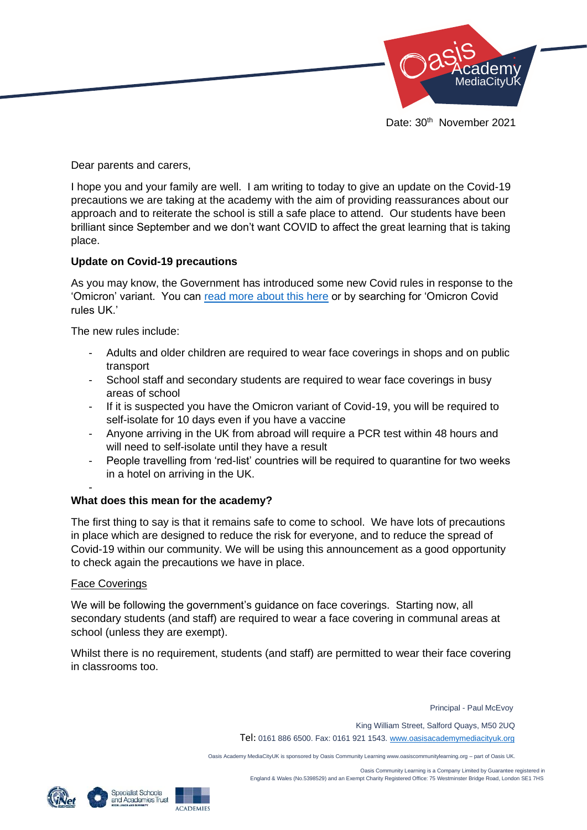

Dear parents and carers,

I hope you and your family are well. I am writing to today to give an update on the Covid-19 precautions we are taking at the academy with the aim of providing reassurances about our approach and to reiterate the school is still a safe place to attend. Our students have been brilliant since September and we don't want COVID to affect the great learning that is taking place.

# **Update on Covid-19 precautions**

As you may know, the Government has introduced some new Covid rules in response to the 'Omicron' variant. You can [read more about this here](https://www.bbc.co.uk/news/explainers-52530518) or by searching for 'Omicron Covid rules UK.'

The new rules include:

- Adults and older children are required to wear face coverings in shops and on public transport
- School staff and secondary students are required to wear face coverings in busy areas of school
- If it is suspected you have the Omicron variant of Covid-19, you will be required to self-isolate for 10 days even if you have a vaccine
- Anyone arriving in the UK from abroad will require a PCR test within 48 hours and will need to self-isolate until they have a result
- People travelling from 'red-list' countries will be required to quarantine for two weeks in a hotel on arriving in the UK.

#### -

# **What does this mean for the academy?**

The first thing to say is that it remains safe to come to school. We have lots of precautions in place which are designed to reduce the risk for everyone, and to reduce the spread of Covid-19 within our community. We will be using this announcement as a good opportunity to check again the precautions we have in place.

#### Face Coverings

We will be following the government's guidance on face coverings. Starting now, all secondary students (and staff) are required to wear a face covering in communal areas at school (unless they are exempt).

Whilst there is no requirement, students (and staff) are permitted to wear their face covering in classrooms too.

Principal - Paul McEvoy

King William Street, Salford Quays, M50 2UQ

Tel: 0161 886 6500. Fax: 0161 921 1543[. www.oasisacademymediacityuk.org](http://www.oasisacademymediacityuk.org/)

Oasis Academy MediaCityUK is sponsored by Oasis Community Learning www.oasiscommunitylearning.org – part of Oasis UK.

 Oasis Community Learning is a Company Limited by Guarantee registered in England & Wales (No.5398529) and an Exempt Charity Registered Office: 75 Westminster Bridge Road, London SE1 7HS



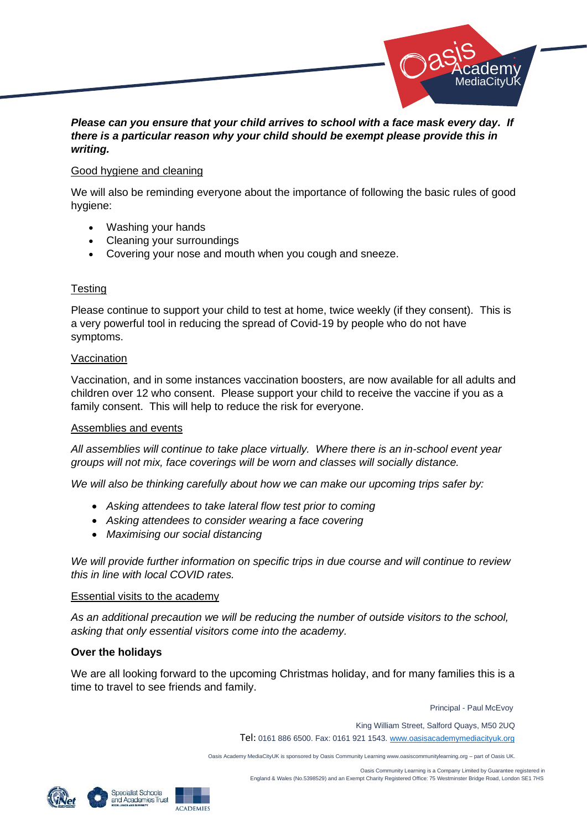

# *Please can you ensure that your child arrives to school with a face mask every day. If there is a particular reason why your child should be exempt please provide this in writing.*

#### Good hygiene and cleaning

We will also be reminding everyone about the importance of following the basic rules of good hygiene:

- Washing your hands
- Cleaning your surroundings
- Covering your nose and mouth when you cough and sneeze.

# **Testing**

Please continue to support your child to test at home, twice weekly (if they consent). This is a very powerful tool in reducing the spread of Covid-19 by people who do not have symptoms.

### Vaccination

Vaccination, and in some instances vaccination boosters, are now available for all adults and children over 12 who consent. Please support your child to receive the vaccine if you as a family consent. This will help to reduce the risk for everyone.

#### Assemblies and events

*All assemblies will continue to take place virtually. Where there is an in-school event year groups will not mix, face coverings will be worn and classes will socially distance.*

*We will also be thinking carefully about how we can make our upcoming trips safer by:*

- *Asking attendees to take lateral flow test prior to coming*
- *Asking attendees to consider wearing a face covering*
- *Maximising our social distancing*

*We will provide further information on specific trips in due course and will continue to review this in line with local COVID rates.*

#### Essential visits to the academy

*As an additional precaution we will be reducing the number of outside visitors to the school, asking that only essential visitors come into the academy.*

# **Over the holidays**

We are all looking forward to the upcoming Christmas holiday, and for many families this is a time to travel to see friends and family.

Principal - Paul McEvoy

King William Street, Salford Quays, M50 2UQ

Tel: 0161 886 6500. Fax: 0161 921 1543[. www.oasisacademymediacityuk.org](http://www.oasisacademymediacityuk.org/)

Oasis Academy MediaCityUK is sponsored by Oasis Community Learning www.oasiscommunitylearning.org – part of Oasis UK.